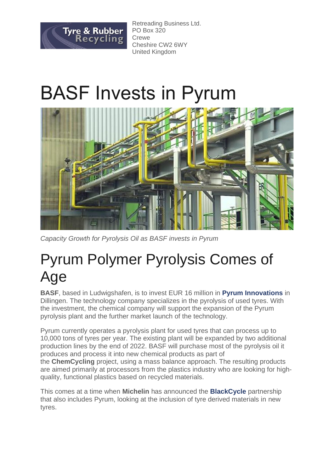

Retreading Business Ltd. PO Box 320 **Crewe** Cheshire CW2 6WY United Kingdom

## BASF Invests in Pyrum



*Capacity Growth for Pyrolysis Oil as BASF invests in Pyrum*

## Pyrum Polymer Pyrolysis Comes of Age

**BASF**, based in Ludwigshafen, is to invest EUR 16 million in **[Pyrum Innovations](https://bit.ly/2Z1RVPP)** in Dillingen. The technology company specializes in the pyrolysis of used tyres. With the investment, the chemical company will support the expansion of the Pyrum pyrolysis plant and the further market launch of the technology.

Pyrum currently operates a pyrolysis plant for used tyres that can process up to 10,000 tons of tyres per year. The existing plant will be expanded by two additional production lines by the end of 2022. BASF will purchase most of the pyrolysis oil it produces and process it into new chemical products as part of the **ChemCycling** project, using a mass balance approach. The resulting products are aimed primarily at processors from the plastics industry who are looking for highquality, functional plastics based on recycled materials.

This comes at a time when **Michelin** has announced the **[BlackCycle](https://bit.ly/3lWTV6y)** partnership that also includes Pyrum, looking at the inclusion of tyre derived materials in new tyres.